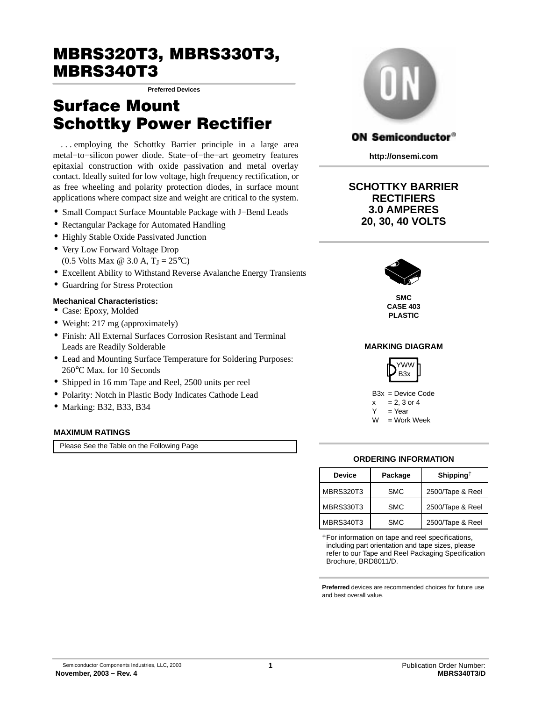# MBRS320T3, MBRS330T3, MBRS340T3

**Preferred Devices**

# Surface Mount Schottky Power Rectifier

. . . employing the Schottky Barrier principle in a large area metal−to−silicon power diode. State−of−the−art geometry features epitaxial construction with oxide passivation and metal overlay contact. Ideally suited for low voltage, high frequency rectification, or as free wheeling and polarity protection diodes, in surface mount applications where compact size and weight are critical to the system.

- Small Compact Surface Mountable Package with J−Bend Leads
- Rectangular Package for Automated Handling
- Highly Stable Oxide Passivated Junction
- Very Low Forward Voltage Drop (0.5 Volts Max @ 3.0 A,  $T_J = 25^{\circ}C$ )
- Excellent Ability to Withstand Reverse Avalanche Energy Transients
- Guardring for Stress Protection

### **Mechanical Characteristics:**

- Case: Epoxy, Molded
- Weight: 217 mg (approximately)
- Finish: All External Surfaces Corrosion Resistant and Terminal Leads are Readily Solderable
- Lead and Mounting Surface Temperature for Soldering Purposes: 260°C Max. for 10 Seconds
- Shipped in 16 mm Tape and Reel, 2500 units per reel
- Polarity: Notch in Plastic Body Indicates Cathode Lead
- Marking: B32, B33, B34

### **MAXIMUM RATINGS**

Please See the Table on the Following Page



### **ON Semiconductor®**

**http://onsemi.com**

### **SCHOTTKY BARRIER RECTIFIERS 3.0 AMPERES 20, 30, 40 VOLTS**



**SMC CASE 403 PLASTIC**

### **MARKING DIAGRAM**



B3x = Device Code  $x = 2, 3$  or 4  $=$  Year

 $W = Work Week$ 

### **ORDERING INFORMATION**

| <b>Device</b>    | Package    | Shipping <sup><math>\dagger</math></sup> |  |
|------------------|------------|------------------------------------------|--|
| <b>MBRS320T3</b> | <b>SMC</b> | 2500/Tape & Reel                         |  |
| <b>MBRS330T3</b> | <b>SMC</b> | 2500/Tape & Reel                         |  |
| <b>MBRS340T3</b> | <b>SMC</b> | 2500/Tape & Reel                         |  |

†For information on tape and reel specifications, including part orientation and tape sizes, please refer to our Tape and Reel Packaging Specification Brochure, BRD8011/D.

**Preferred** devices are recommended choices for future use and best overall value.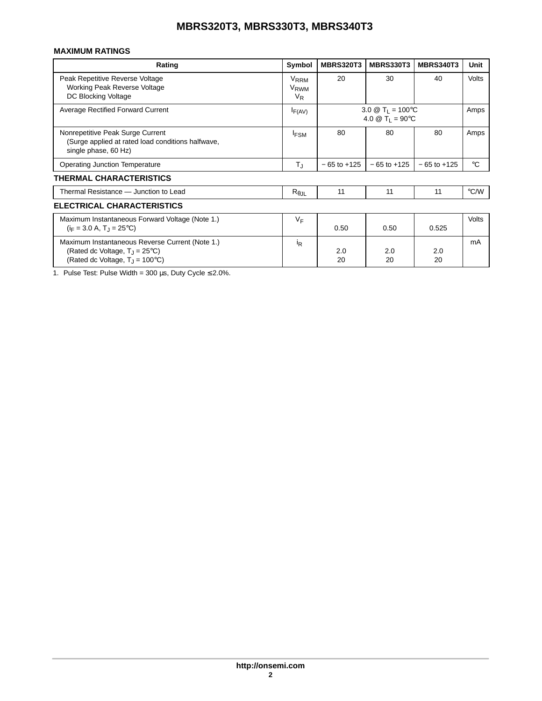## **MBRS320T3, MBRS330T3, MBRS340T3**

### **MAXIMUM RATINGS**

| Rating                                                                                                                                            | Symbol                                              | <b>MBRS320T3</b>                                                                  | <b>MBRS330T3</b> | <b>MBRS340T3</b> | Unit         |  |
|---------------------------------------------------------------------------------------------------------------------------------------------------|-----------------------------------------------------|-----------------------------------------------------------------------------------|------------------|------------------|--------------|--|
| Peak Repetitive Reverse Voltage<br>Working Peak Reverse Voltage<br><b>DC Blocking Voltage</b>                                                     | <b>V<sub>RRM</sub></b><br>V <sub>RWM</sub><br>$V_R$ | 20                                                                                | 30               | 40               | <b>Volts</b> |  |
| <b>Average Rectified Forward Current</b>                                                                                                          | $I_{F(AV)}$                                         | 3.0 $\circledR$ T <sub>1</sub> = 100 °C<br>4.0 $\circledR$ T <sub>1</sub> = 90 °C |                  | Amps             |              |  |
| Nonrepetitive Peak Surge Current<br>(Surge applied at rated load conditions halfwave,<br>single phase, 60 Hz)                                     | <b>IFSM</b>                                         | 80                                                                                | 80               | 80               | Amps         |  |
| <b>Operating Junction Temperature</b>                                                                                                             | $\mathsf{T}_{\text{J}}$                             | $-65$ to $+125$                                                                   | $-65$ to $+125$  | $-65$ to $+125$  | °C           |  |
| <b>THERMAL CHARACTERISTICS</b>                                                                                                                    |                                                     |                                                                                   |                  |                  |              |  |
| Thermal Resistance - Junction to Lead                                                                                                             | $R_{\theta\text{JL}}$                               | 11                                                                                | 11               | 11               | °C/W         |  |
| ELECTRICAL CHARACTERISTICS                                                                                                                        |                                                     |                                                                                   |                  |                  |              |  |
| Maximum Instantaneous Forward Voltage (Note 1.)<br>$(i_F = 3.0 A, T_1 = 25^{\circ}C)$                                                             | VF                                                  | 0.50                                                                              | 0.50             | 0.525            | <b>Volts</b> |  |
| Maximum Instantaneous Reverse Current (Note 1.)<br>(Rated dc Voltage, $T_1 = 25^{\circ}C$ )<br>(Rated dc Voltage, $T_{\rm J}$ = 100 $^{\circ}$ C) | İR                                                  | 2.0<br>20                                                                         | 2.0<br>20        | 2.0<br>20        | mA           |  |

1. Pulse Test: Pulse Width =  $300 \,\mu s$ , Duty Cycle  $\leq 2.0\%$ .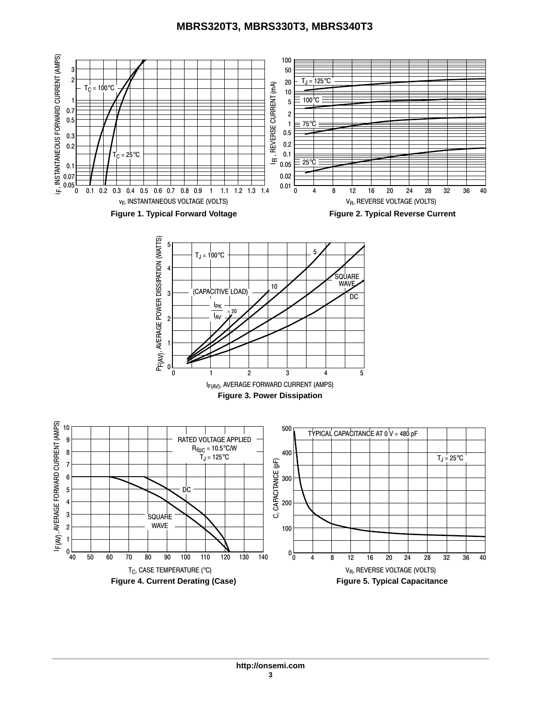## **MBRS320T3, MBRS330T3, MBRS340T3**